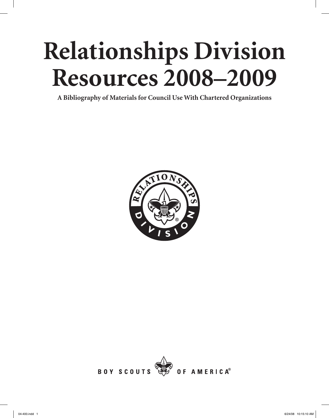# **Relationships Division Resources 2008–2009**

**A Bibliography of Materials for Council Use With Chartered Organizations**



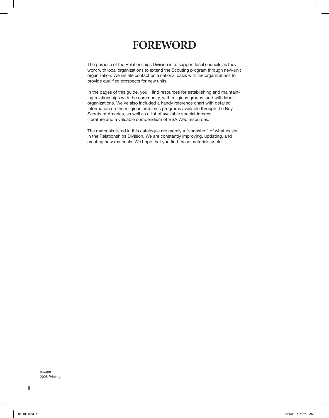# **Foreword**

The purpose of the Relationships Division is to support local councils as they work with local organizations to extend the Scouting program through new-unit organization. We initiate contact on a national basis with the organizations to provide qualified prospects for new units.

In the pages of this guide, you'll find resources for establishing and maintaining relationships with the community, with religious groups, and with labor organizations. We've also included a handy reference chart with detailed information on the religious emblems programs available through the Boy Scouts of America, as well as a list of available special-interest literature and a valuable compendium of BSA Web resources.

The materials listed in this catalogue are merely a "snapshot" of what exists in the Relationships Division. We are constantly improving, updating, and creating new materials. We hope that you find these materials useful.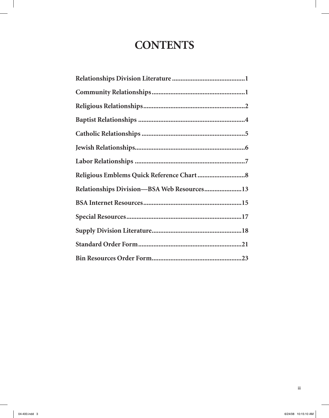# **CONTENTS**

| Relationships Division-BSA Web Resources13 |  |
|--------------------------------------------|--|
|                                            |  |
|                                            |  |
|                                            |  |
|                                            |  |
|                                            |  |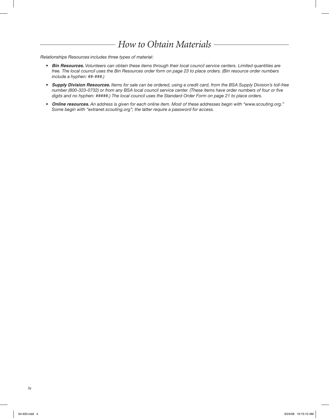# *How to Obtain Materials*

*Relationships Resources includes three types of material:*

- *• Bin Resources. Volunteers can obtain these items through their local council service centers. Limited quantities are free. The local council uses the Bin Resources order form on page 23 to place orders. (Bin resource order numbers include a hyphen: ##-###.)*
- *• Supply Division Resources. Items for sale can be ordered, using a credit card, from the BSA Supply Division's toll-free number (800-323-0732) or from any BSA local council service center. (These items have order numbers of four or five digits and no hyphen: #####.) The local council uses the Standard Order Form on page 21 to place orders.*
- *• Online resources. An address is given for each online item. Most of these addresses begin with "www.scouting.org." Some begin with "extranet.scouting.org"; the latter require a password for access.*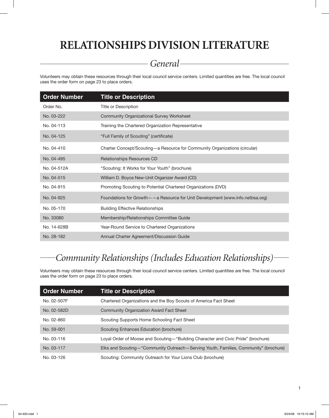# **Relationships Division Literature**

# *General*

Volunteers may obtain these resources through their local council service centers. Limited quantities are free. The local council uses the order form on page 23 to place orders.

| <b>Order Number</b> | <b>Title or Description</b>                                                      |
|---------------------|----------------------------------------------------------------------------------|
| Order No.           | <b>Title or Description</b>                                                      |
| No. 03-222          | <b>Community Organizational Survey Worksheet</b>                                 |
| No. 04-113          | Training the Chartered Organization Representative                               |
| No. 04-125          | "Full Family of Scouting" (certificate)                                          |
| No. 04-410          | Charter Concept/Scouting-a Resource for Community Organizations (circular)       |
| No. 04-495          | <b>Relationships Resources CD</b>                                                |
| No. 04-512A         | "Scouting: It Works for Your Youth" (brochure)                                   |
| No. 04-515          | William D. Boyce New-Unit Organizer Award (CD)                                   |
| No. 04-915          | Promoting Scouting to Potential Chartered Organizations (DVD)                    |
| No. 04-925          | Foundations for Growth - - a Resource for Unit Development (www.info.netbsa.org) |
| No. 05-170          | <b>Building Effective Relationships</b>                                          |
| No. 33080           | Membership/Relationships Committee Guide                                         |
| No. 14-628B         | Year-Round Service to Chartered Organizations                                    |
| No. 28-182          | Annual Charter Agreement/Discussion Guide                                        |

# *Community Relationships (Includes Education Relationships)*

Volunteers may obtain these resources through their local council service centers. Limited quantities are free. The local council uses the order form on page 23 to place orders.

| <b>Order Number</b> | <b>Title or Description</b>                                                           |
|---------------------|---------------------------------------------------------------------------------------|
| No. 02-507F         | Chartered Organizations and the Boy Scouts of America Fact Sheet                      |
| No. 02-582D         | Community Organization Award Fact Sheet                                               |
| No. 02-860          | Scouting Supports Home Schooling Fact Sheet                                           |
| No. 59-001          | Scouting Enhances Education (brochure)                                                |
| No. 03-116          | Loyal Order of Moose and Scouting - "Building Character and Civic Pride" (brochure)   |
| No. 03-117          | Elks and Scouting— "Community Outreach—Serving Youth, Families, Community" (brochure) |
| No. 03-126          | Scouting: Community Outreach for Your Lions Club (brochure)                           |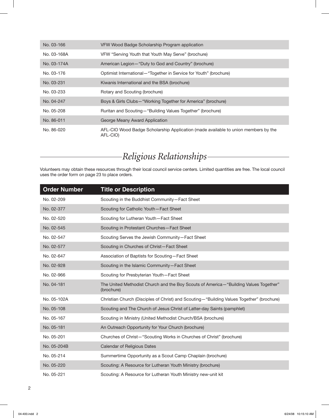| No. 03-166  | VFW Wood Badge Scholarship Program application                                                 |
|-------------|------------------------------------------------------------------------------------------------|
| No. 03-168A | VFW "Serving Youth that Youth May Serve" (brochure)                                            |
| No. 03-174A | American Legion-"Duty to God and Country" (brochure)                                           |
| No. 03-176  | Optimist International—"Together in Service for Youth" (brochure)                              |
| No. 03-231  | Kiwanis International and the BSA (brochure)                                                   |
| No. 03-233  | Rotary and Scouting (brochure)                                                                 |
| No. 04-247  | Boys & Girls Clubs— "Working Together for America" (brochure)                                  |
| No. 05-208  | Ruritan and Scouting—"Building Values Together" (brochure)                                     |
| No. 86-011  | George Meany Award Application                                                                 |
| No. 86-020  | AFL-CIO Wood Badge Scholarship Application (made available to union members by the<br>AFL-CIO) |

# *Religious Relationships*

Volunteers may obtain these resources through their local council service centers. Limited quantities are free. The local council uses the order form on page 23 to place orders.

| <b>Order Number</b> | <b>Title or Description</b>                                                                        |
|---------------------|----------------------------------------------------------------------------------------------------|
| No. 02-209          | Scouting in the Buddhist Community-Fact Sheet                                                      |
| No. 02-377          | Scouting for Catholic Youth-Fact Sheet                                                             |
| No. 02-520          | Scouting for Lutheran Youth-Fact Sheet                                                             |
| No. 02-545          | Scouting in Protestant Churches-Fact Sheet                                                         |
| No. 02-547          | Scouting Serves the Jewish Community-Fact Sheet                                                    |
| No. 02-577          | Scouting in Churches of Christ-Fact Sheet                                                          |
| No. 02-647          | Association of Baptists for Scouting-Fact Sheet                                                    |
| No. 02-928          | Scouting in the Islamic Community-Fact Sheet                                                       |
| No. 02-966          | Scouting for Presbyterian Youth-Fact Sheet                                                         |
| No. 04-181          | The United Methodist Church and the Boy Scouts of America-"Building Values Together"<br>(brochure) |
| No. 05-102A         | Christian Church (Disciples of Christ) and Scouting - "Building Values Together" (brochure)        |
| No. 05-108          | Scouting and The Church of Jesus Christ of Latter-day Saints (pamphlet)                            |
| No. 05-167          | Scouting in Ministry (United Methodist Church/BSA (brochure)                                       |
| No. 05-181          | An Outreach Opportunity for Your Church (brochure)                                                 |
| No. 05-201          | Churches of Christ-"Scouting Works in Churches of Christ" (brochure)                               |
| No. 05-204B         | <b>Calendar of Religious Dates</b>                                                                 |
| No. 05-214          | Summertime Opportunity as a Scout Camp Chaplain (brochure)                                         |
| No. 05-220          | Scouting: A Resource for Lutheran Youth Ministry (brochure)                                        |
| No. 05-221          | Scouting: A Resource for Lutheran Youth Ministry new-unit kit                                      |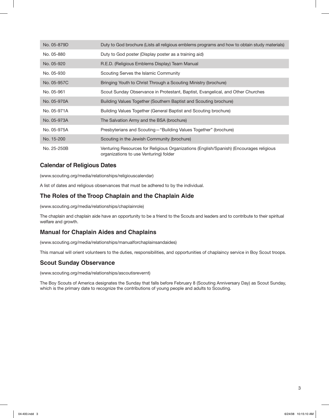| No. 05-879D | Duty to God brochure (Lists all religious emblems programs and how to obtain study materials)                                     |
|-------------|-----------------------------------------------------------------------------------------------------------------------------------|
| No. 05-880  | Duty to God poster (Display poster as a training aid)                                                                             |
| No. 05-920  | R.E.D. (Religious Emblems Display) Team Manual                                                                                    |
| No. 05-930  | Scouting Serves the Islamic Community                                                                                             |
| No. 05-957C | Bringing Youth to Christ Through a Scouting Ministry (brochure)                                                                   |
| No. 05-961  | Scout Sunday Observance in Protestant, Baptist, Evangelical, and Other Churches                                                   |
| No. 05-970A | Building Values Together (Southern Baptist and Scouting brochure)                                                                 |
| No. 05-971A | Building Values Together (General Baptist and Scouting brochure)                                                                  |
| No. 05-973A | The Salvation Army and the BSA (brochure)                                                                                         |
| No. 05-975A | Presbyterians and Scouting—"Building Values Together" (brochure)                                                                  |
| No. 15-200  | Scouting in the Jewish Community (brochure)                                                                                       |
| No. 25-250B | Venturing Resources for Religious Organizations (English/Spanish) (Encourages religious<br>organizations to use Venturing) folder |

#### **Calendar of Religious Dates**

(www.scouting.org/media/relationships/religiouscalendar)

A list of dates and religious observances that must be adhered to by the individual.

#### **The Roles of the Troop Chaplain and the Chaplain Aide**

(www.scouting.org/media/relationships/chaplainrole)

The chaplain and chaplain aide have an opportunity to be a friend to the Scouts and leaders and to contribute to their spiritual welfare and growth.

#### **Manual for Chaplain Aides and Chaplains**

(www.scouting.org/media/relationships/manualforchaplainsandaides)

This manual will orient volunteers to the duties, responsibilities, and opportunities of chaplaincy service in Boy Scout troops.

#### **Scout Sunday Observance**

(www.scouting.org/media/relationships/ascoutisrevernt)

The Boy Scouts of America designates the Sunday that falls before February 8 (Scouting Anniversary Day) as Scout Sunday, which is the primary date to recognize the contributions of young people and adults to Scouting.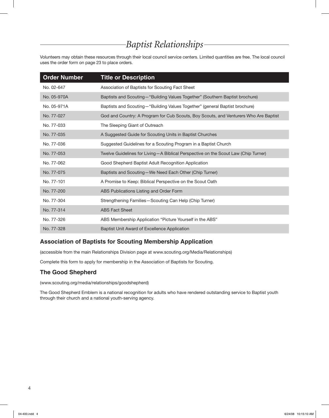# *Baptist Relationships*

Volunteers may obtain these resources through their local council service centers. Limited quantities are free. The local council uses the order form on page 23 to place orders.

| <b>Order Number</b> | <b>Title or Description</b>                                                          |
|---------------------|--------------------------------------------------------------------------------------|
| No. 02-647          | Association of Baptists for Scouting Fact Sheet                                      |
| No. 05-970A         | Baptists and Scouting-"Building Values Together" (Southern Baptist brochure)         |
| No. 05-971A         | Baptists and Scouting - "Building Values Together" (general Baptist brochure)        |
| No. 77-027          | God and Country: A Program for Cub Scouts, Boy Scouts, and Venturers Who Are Baptist |
| No. 77-033          | The Sleeping Giant of Outreach                                                       |
| No. 77-035          | A Suggested Guide for Scouting Units in Baptist Churches                             |
| No. 77-036          | Suggested Guidelines for a Scouting Program in a Baptist Church                      |
| No. 77-053          | Twelve Guidelines for Living - A Biblical Perspective on the Scout Law (Chip Turner) |
| No. 77-062          | Good Shepherd Baptist Adult Recognition Application                                  |
| No. 77-075          | Baptists and Scouting-We Need Each Other (Chip Turner)                               |
| No. 77-101          | A Promise to Keep: Biblical Perspective on the Scout Oath                            |
| No. 77-200          | ABS Publications Listing and Order Form                                              |
| No. 77-304          | Strengthening Families-Scouting Can Help (Chip Turner)                               |
| No. 77-314          | <b>ABS Fact Sheet</b>                                                                |
| No. 77-326          | ABS Membership Application "Picture Yourself in the ABS"                             |
| No. 77-328          | Baptist Unit Award of Excellence Application                                         |

#### **Association of Baptists for Scouting Membership Application**

(accessible from the main Relationships Division page at www.scouting.org/Media/Relationships)

Complete this form to apply for membership in the Association of Baptists for Scouting.

#### **The Good Shepherd**

(www.scouting.org/media/relationships/goodshepherd)

The Good Shepherd Emblem is a national recognition for adults who have rendered outstanding service to Baptist youth through their church and a national youth-serving agency.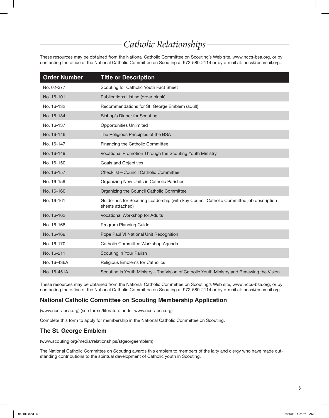# *Catholic Relationships*

These resources may be obtained from the National Catholic Committee on Scouting's Web site, www.nccs-bsa.org, or by contacting the office of the National Catholic Committee on Scouting at 972-580-2114 or by e-mail at: nccs@bsamail.org.

| <b>Order Number</b> | <b>Title or Description</b>                                                                                 |
|---------------------|-------------------------------------------------------------------------------------------------------------|
| No. 02-377          | Scouting for Catholic Youth Fact Sheet                                                                      |
| No. 16-101          | Publications Listing (order blank)                                                                          |
| No. 16-132          | Recommendations for St. George Emblem (adult)                                                               |
| No. 16-134          | <b>Bishop's Dinner for Scouting</b>                                                                         |
| No. 16-137          | <b>Opportunities Unlimited</b>                                                                              |
| No. 16-146          | The Religious Principles of the BSA                                                                         |
| No. 16-147          | Financing the Catholic Committee                                                                            |
| No. 16-149          | Vocational Promotion Through the Scouting Youth Ministry                                                    |
| No. 16-150          | Goals and Objectives                                                                                        |
| No. 16-157          | Checklist-Council Catholic Committee                                                                        |
| No. 16-159          | Organizing New Units in Catholic Parishes                                                                   |
| No. 16-160          | Organizing the Council Catholic Committee                                                                   |
| No. 16-161          | Guidelines for Securing Leadership (with key Council Catholic Committee job description<br>sheets attached) |
| No. 16-162          | Vocational Workshop for Adults                                                                              |
| No. 16-168          | Program Planning Guide                                                                                      |
| No. 16-169          | Pope Paul VI National Unit Recognition                                                                      |
| No. 16-170          | Catholic Committee Workshop Agenda                                                                          |
| No. 16-211          | Scouting in Your Parish                                                                                     |
| No. 16-436A         | Religious Emblems for Catholics                                                                             |
| No. 16-451A         | Scouting Is Youth Ministry-The Vision of Catholic Youth Ministry and Renewing the Vision                    |

These resources may be obtained from the National Catholic Committee on Scouting's Web site, www.nccs-bsa.org, or by contacting the office of the National Catholic Committee on Scouting at 972-580-2114 or by e-mail at: nccs@bsamail.org.

#### **National Catholic Committee on Scouting Membership Application**

(www.nccs-bsa.org) (see forms/literature under www.nccs-bsa.org)

Complete this form to apply for membership in the National Catholic Committee on Scouting.

#### **The St. George Emblem**

(www.scouting.org/media/relationships/stgeorgeemblem)

The National Catholic Committee on Scouting awards this emblem to members of the laity and clergy who have made outstanding contributions to the spiritual development of Catholic youth in Scouting.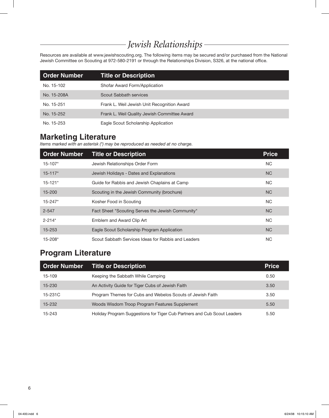# *Jewish Relationships*

Resources are available at www.jewishscouting.org. The following items may be secured and/or purchased from the National Jewish Committee on Scouting at 972-580-2191 or through the Relationships Division, S326, at the national office.

| <b>Order Number</b> | <b>Title or Description</b>                  |
|---------------------|----------------------------------------------|
| No. 15-102          | Shofar Award Form/Application                |
| No. 15-208A         | Scout Sabbath services                       |
| No. 15-251          | Frank L. Weil Jewish Unit Recognition Award  |
| No. 15-252          | Frank L. Weil Quality Jewish Committee Award |
| No. 15-253          | Eagle Scout Scholarship Application          |

### **Marketing Literature**

*Items marked with an asterisk (\*) may be reproduced as needed at no charge.*

| <b>Order Number</b> | <b>Title or Description</b>                         | <b>Price</b>   |
|---------------------|-----------------------------------------------------|----------------|
| $15 - 107*$         | Jewish Relationships Order Form                     | NC.            |
| $15 - 117*$         | Jewish Holidays - Dates and Explanations            | N <sub>C</sub> |
| $15 - 121*$         | Guide for Rabbis and Jewish Chaplains at Camp       | NC.            |
| 15-200              | Scouting in the Jewish Community (brochure)         | <b>NC</b>      |
| $15 - 247*$         | Kosher Food in Scouting                             | NC.            |
| $2 - 547$           | Fact Sheet "Scouting Serves the Jewish Community"   | N <sub>C</sub> |
| $2 - 214*$          | Emblem and Award Clip Art                           | NC.            |
| $15 - 253$          | Eagle Scout Scholarship Program Application         | N <sub>C</sub> |
| 15-208*             | Scout Sabbath Services Ideas for Rabbis and Leaders | N <sub>C</sub> |

### **Program Literature**

| Order Number | <b>Title or Description</b>                                              | <b>Price</b> |
|--------------|--------------------------------------------------------------------------|--------------|
| 15-109       | Keeping the Sabbath While Camping                                        | 0.50         |
| 15-230       | An Activity Guide for Tiger Cubs of Jewish Faith                         | 3.50         |
| $15 - 231C$  | Program Themes for Cubs and Webelos Scouts of Jewish Faith               | 3.50         |
| 15-232       | Woods Wisdom Troop Program Features Supplement                           | 5.50         |
| $15 - 243$   | Holiday Program Suggestions for Tiger Cub Partners and Cub Scout Leaders | 5.50         |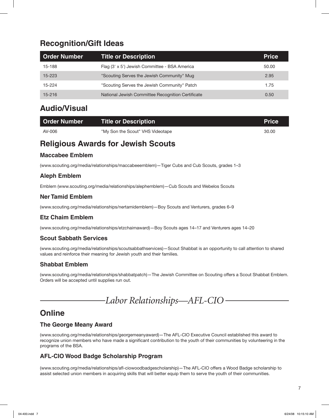# **Recognition/Gift Ideas**

| <b>Order Number</b> | <b>Title or Description</b>                       | <b>Price</b> |
|---------------------|---------------------------------------------------|--------------|
| 15-188              | Flag (3' x 5') Jewish Committee - BSA America     | 50.00        |
| $15 - 223$          | "Scouting Serves the Jewish Community" Mug        | 2.95         |
| 15-224              | "Scouting Serves the Jewish Community" Patch      | 1.75         |
| 15-216              | National Jewish Committee Recognition Certificate | 0.50         |

### **Audio/Visual**

| <b>Order Number</b> | <b>Title or Description</b>      | <b>NPrice</b> |
|---------------------|----------------------------------|---------------|
| AV-006              | "My Son the Scout" VHS Videotape | 30.00         |

### **Religious Awards for Jewish Scouts**

#### **Maccabee Emblem**

(www.scouting.org/media/relationships/maccabeeemblem)—Tiger Cubs and Cub Scouts, grades 1–3

#### **Aleph Emblem**

Emblem (www.scouting.org/media/relationships/alephemblem)—Cub Scouts and Webelos Scouts

#### **Ner Tamid Emblem**

(www.scouting.org/media/relationships/nertamidemblem)—Boy Scouts and Venturers, grades 6–9

#### **Etz Chaim Emblem**

(www.scouting.org/media/relationships/etzchaimaward)—Boy Scouts ages 14–17 and Venturers ages 14–20

#### **Scout Sabbath Services**

(www.scouting.org/media/relationships/scoutsabbathservices)—Scout Shabbat is an opportunity to call attention to shared values and reinforce their meaning for Jewish youth and their families.

#### **Shabbat Emblem**

(www.scouting.org/media/relationships/shabbatpatch)—The Jewish Committee on Scouting offers a Scout Shabbat Emblem. Orders will be accepted until supplies run out.

*Labor Relationships—AFL-CIO*

### **Online**

#### **The George Meany Award**

(www.scouting.org/media/relationships/georgemeanyaward)—The AFL-CIO Executive Council established this award to recognize union members who have made a significant contribution to the youth of their communities by volunteering in the programs of the BSA.

#### **AFL-CIO Wood Badge Scholarship Program**

(www.scouting.org/media/relationships/afl-ciowoodbadgescholarship)—The AFL-CIO offers a Wood Badge scholarship to assist selected union members in acquiring skills that will better equip them to serve the youth of their communities.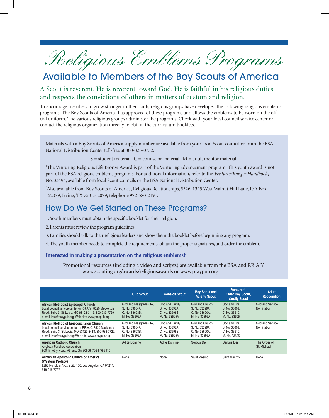*Religious Emblems Programs*

# Available to Members of the Boy Scouts of America

#### A Scout is reverent. He is reverent toward God. He is faithful in his religious duties and respects the convictions of others in matters of custom and religion.

To encourage members to grow stronger in their faith, religious groups have developed the following religious emblems programs. The Boy Scouts of America has approved of these programs and allows the emblems to be worn on the official uniform. The various religious groups administer the programs. Check with your local council service center or contact the religious organization directly to obtain the curriculum booklets.

Materials with a Boy Scouts of America supply number are available from your local Scout council or from the BSA National Distribution Center toll-free at 800-323-0732.

 $S =$  student material.  $C =$  counselor material.  $M =$  adult mentor material.

1 The Venturing Religious Life Bronze Award is part of the Venturing advancement program. This youth award is not part of the BSA religious emblems programs. For additional information, refer to the *Venturer/Ranger Handbook*, No. 33494, available from local Scout councils or the BSA National Distribution Center.

<sup>2</sup>Also available from Boy Scouts of America, Religious Relationships, S326, 1325 West Walnut Hill Lane, P.O. Box 152079, Irving, TX 75015-2079; telephone 972-580-2191.

### How Do We Get Started on These Programs?

1.Youth members must obtain the specific booklet for their religion.

2.Parents must review the program guidelines.

3.Families should talk to their religious leaders and show them the booklet before beginning any program.

4.The youth member needs to complete the requirements, obtain the proper signatures, and order the emblem.

#### **Interested in making a presentation on the religious emblems?**

Promotional resources (including a video and scripts) are available from the BSA and P.R.A.Y. www.scouting.org/awards/religiousawards or www.praypub.org

|                                                                                                                                                                                                                      | <b>Cub Scout</b>                                                             | <b>Webelos Scout</b>                                                | <b>Boy Scout and</b><br><b>Varsity Scout</b>                        | Venturer <sup>1</sup> ,<br><b>Older Boy Scout,</b><br><b>Varsity Scout</b> | <b>Adult</b><br><b>Recognition</b> |
|----------------------------------------------------------------------------------------------------------------------------------------------------------------------------------------------------------------------|------------------------------------------------------------------------------|---------------------------------------------------------------------|---------------------------------------------------------------------|----------------------------------------------------------------------------|------------------------------------|
| African Methodist Episcopal Church<br>Local council service center or P.R.A.Y., 8520 Mackenzie<br>Road, Suite 3, St. Louis, MO 63123-3413; 800-933-7729;<br>e-mail: info@praypub.org; Web site: www.praypub.org      | God and Me (grades 1-3)<br>S. No. 33604A:<br>C, No. 33603B;<br>M, No. 33606A | God and Family<br>S. No. 33597A:<br>C, No. 33598B;<br>M, No. 33595A | God and Church<br>S. No. 33599A:<br>C, No. 33600A;<br>M, No. 33596A | God and Life<br>S. No. 33609:<br>C, No. 33610;<br>M. No. 33605             | God and Service<br>Nomination      |
| African Methodist Episcopal Zion Church<br>Local council service center or P.R.A.Y., 8520 Mackenzie<br>Road, Suite 3, St. Louis, MO 63123-3413; 800-933-7729;<br>e-mail: info@praypub.org; Web site: www.praypub.org | God and Me (grades 1-3)<br>S, No. 33604A;<br>C, No. 33603B;<br>M. No. 33606A | God and Family<br>S. No. 33597A:<br>C, No. 33598B;<br>M. No. 33595A | God and Church<br>S. No. 33599A:<br>C, No. 33600A;<br>M. No. 33596A | God and Life<br>S, No. 33609;<br>C. No. 33610;<br>M. No. 33605             | God and Service<br>Nomination      |
| <b>Anglican Catholic Church</b><br>Anglican Parishes Association,<br>800 Timothy Road, Athens, GA 30606; 706-546-6910                                                                                                | Ad te Domine                                                                 | Ad te Domine                                                        | Serbus Dei                                                          | Serbus Dei                                                                 | The Order of<br>St. Michael        |
| Armenian Apostolic Church of America<br>(Western Prelacy)<br>6252 Honolulu Ave., Suite 100, Los Angeles, CA 91214;<br>818-248-7737                                                                                   | None                                                                         | None                                                                | Saint Mesrob                                                        | Saint Mesrob                                                               | None                               |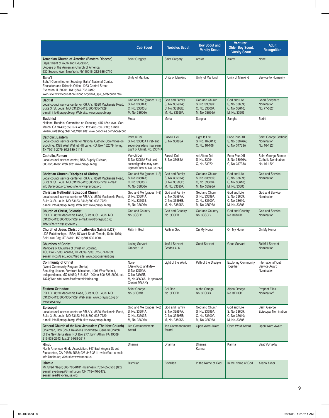|                                                                                                                                                                                                                                          | <b>Cub Scout</b>                                                                                                   | <b>Webelos Scout</b>                                                | <b>Boy Scout and</b><br><b>Varsity Scout</b>                        | Venturer <sup>1</sup> ,<br><b>Older Boy Scout,</b><br><b>Varsity Scout</b> | <b>Adult</b><br><b>Recognition</b>                                          |
|------------------------------------------------------------------------------------------------------------------------------------------------------------------------------------------------------------------------------------------|--------------------------------------------------------------------------------------------------------------------|---------------------------------------------------------------------|---------------------------------------------------------------------|----------------------------------------------------------------------------|-----------------------------------------------------------------------------|
| Armenian Church of America (Eastern Diocese)<br>Department of Youth and Education,<br>Diocese of the Armenian Church of America,<br>630 Second Ave., New York, NY 10016; 212-686-0710                                                    | Saint Gregory                                                                                                      | Saint Gregory                                                       | Ararat                                                              | Ararat                                                                     | None                                                                        |
| Baha'i<br>Baha'i Committee on Scouting, Baha'i National Center,<br>Education and Schools Office, 1233 Central Street,<br>Evanston, IL 60201-1611; 847-733-3492;<br>Web site: www.education.usbnc.org/child_spir_ed/scoutin.htm           | Unity of Mankind                                                                                                   | Unity of Mankind                                                    | Unity of Mankind                                                    | Unity of Mankind                                                           | Service to Humanity                                                         |
| <b>Baptist</b><br>Local council service center or P.R.A.Y., 8520 Mackenzie Road,<br>Suite 3, St. Louis, MO 63123-3413; 800-933-7729;<br>e-mail: info@praypub.org; Web site: www.praypub.org                                              | God and Me (grades 1-3)<br>S. No. 33604A;<br>C, No. 33603B;<br>M, No. 33606A                                       | God and Family<br>S. No. 33597A:<br>C, No. 33598B;<br>M, No. 33595A | God and Church<br>S, No. 33599A;<br>C, No. 33600A;<br>M, No. 33596A | God and Life<br>S. No. 33609;<br>C, No. 33610;<br>M, No. 33605             | <b>Good Shepherd</b><br>Nomination<br>No. 77-062 <sup>2</sup>               |
| <b>Buddhist</b><br>National Buddhist Committee on Scouting, 415 42nd Ave., San<br>Mateo, CA 94403; 650-574-4527; fax: 408-756-3288; e-mail:<br>viwamura@sbcglobal.net; Web site: www.geocities.com/bcascout                              | Metta                                                                                                              | Metta                                                               | Sangha                                                              | Sangha                                                                     | Bodhi                                                                       |
| <b>Catholic, Eastern</b><br>Local council service center or National Catholic Committee on<br>Scouting, 1325 West Walnut Hill Lane, P.O. Box 152079, Irving,<br>TX 75015-2079; 972-580-2114                                              | Parvuli Dei<br>S, No. 33085A First- and<br>second-graders may earn<br>Light of Christ, No. 33074A                  | Parvuli Dei<br>S. No. 33085A                                        | Light Is Life<br>S, No. 16-3011;<br>C, No. 16-106                   | Pope Pius XII<br>S, No. 33076A;<br>C, No. 34733A                           | Saint George Catholic<br>Nomination<br>No. 16-132 <sup>2</sup>              |
| Catholic, Roman<br>Local council service center, BSA Supply Division,<br>800-323-0732; Web site: www.praypub.org                                                                                                                         | Parvuli Dei<br>S. No. 33085A First- and<br>second-graders may earn<br>Light of Christ S, No. 33074A                | Parvuli Dei<br>S. No. 33085A                                        | Ad Altare Dei<br>S, No. 33094;<br>C. No. 33072                      | Pope Pius XII<br>S, No. 33076A;<br>C, No. 34733A                           | Saint George Roman<br><b>Catholic Nomination</b><br>No. 16-132 <sup>2</sup> |
| <b>Christian Church (Disciples of Christ)</b><br>Local council service center or P.R.A.Y., 8520 Mackenzie Road,<br>Suite 3, St. Louis, MO 63123-3413; 800-933-7729; e-mail:<br>info@praypub.org; Web site: www.praypub.org               | God and Me (grades 1-3)<br>S. No. 33604A;<br>C. No. 33603B:<br>M, No. 33606A                                       | God and Family<br>S. No. 33597A;<br>C, No. 33598B;<br>M, No. 33595A | God and Church<br>S, No. 33599A;<br>C, No. 33600A;<br>M, No. 33596A | God and Life<br>S. No. 33609;<br>C, No. 33610;<br>M, No. 33605             | God and Service<br><b>Nomination</b>                                        |
| Christian Methodist Episcopal Church<br>Local council service center or P.R.A.Y., 8520 Mackenzie Road,<br>Suite 3, St. Louis, MO 63123-3413; 800-933-7729;<br>e-mail: info@praypub.org; Web site: www.praypub.org                        | God and Me (grades 1-3)<br>S. No. 33604A;<br>C, No. 33603B;<br>M, No. 33606A                                       | God and Family<br>S. No. 33597A;<br>C, No. 33598B;<br>M, No. 33595A | God and Church<br>S, No. 33599A;<br>C, No. 33600A;<br>M, No. 33596A | God and Life<br>S. No. 33609;<br>C, No. 33610;<br>M, No. 33605             | God and Service<br>Nomination                                               |
| <b>Church of Christ, Scientist</b><br>P.R.A.Y., 8520 Mackenzie Road, Suite 3, St. Louis, MO<br>63123-3413; 800-933-7729; e-mail: info@praypub.org;<br>Web site: www.praypub.org                                                          | God and Country<br>No. 3CSFB                                                                                       | <b>God and Country</b><br>No. 3CSFB                                 | God and Country<br>No. 3CSCB                                        | God and Country<br>No. 3CSCB                                               | God and Service<br><b>Nomination</b>                                        |
| Church of Jesus Christ of Latter-day Saints (LDS)<br>LDS Relationships-BSA; 15 West South Temple, Suite 1070;<br>Salt Lake City, UT 84101-1531; 801-530-0004                                                                             | Faith in God                                                                                                       | Faith in God                                                        | On My Honor                                                         | On My Honor                                                                | On My Honor                                                                 |
| <b>Churches of Christ</b><br>Members of Churches of Christ for Scouting.<br>ACU Box 27938, Abilene, TX 79699-7938; 325-674-3739;<br>e-mail: mccs@acu.edu; Web site: www.goodservant.org                                                  | <b>Loving Servant</b><br>Grades 1-3                                                                                | <b>Joyful Servant</b><br>Grades 4-6                                 | <b>Good Servant</b>                                                 | <b>Good Servant</b>                                                        | <b>Faithful Servant</b><br><b>Nomination</b>                                |
| <b>Community of Christ</b><br>(World Community Program Series)<br>Scouting Liaison, Forefront Ministries, 1001 West Walnut,<br>Independence, MO 64050; 816-833-1000 or 800-825-2806, ext.<br>1374; Web site: www.forefrontministries.org | None<br>(Use of God and Me-<br>S. No. 33604A:<br>C, No. 33603B,<br>M, No. 33606A-is approved.<br>Contact P.R.A.Y.) | Light of the World                                                  | Path of the Disciple                                                | <b>Exploring Community</b><br>Together                                     | International Youth<br>Service Award<br>Nomination                          |
| <b>Eastern Orthodox</b><br>P.R.A.Y., 8520 Mackenzie Road, Suite 3, St. Louis, MO<br>63123-3413; 800-933-7729; Web sites: www.praypub.org or<br>www.eocs.org                                                                              | Saint George<br>No. 3EOMB                                                                                          | Chi Rho<br>No. 3EOFB                                                | Alpha Omega<br>No. 3EOCB                                            | Alpha Omega<br>No. 3EOCB                                                   | <b>Prophet Elias</b><br>Nomination <sup>2</sup>                             |
| Episcopal<br>Local council service center or P.R.A.Y., 8520 Mackenzie Road,<br>Suite 3, St. Louis, MO 63123-3413; 800-933-7729;<br>e-mail: info@praypub.org; Web site: www.praypub.org                                                   | God and Me (grades 1-3)<br>S. No. 33604A;<br>C, No. 33603B;<br>M, No. 33606A                                       | God and Family<br>S. No. 33597A;<br>C, No. 33598B;<br>M, No. 33595A | God and Church<br>S, No. 33599A;<br>C, No. 33600A;<br>M, No. 33596A | God and Life<br>S. No. 33609;<br>C, No. 33610;<br>M, No. 33605             | Saint George<br><b>Episcopal Nomination</b>                                 |
| General Church of the New Jerusalem (The New Church)<br>Chairman, Boy Scout Relations Committee, General Church<br>of the New Jerusalem, P.O. Box 277, Bryn Athyn, PA 19009;<br>215-938-2542; fax: 215-938-2617                          | <b>Ten Commandments</b><br>Award                                                                                   | <b>Ten Commandments</b><br>Award                                    | Open Word Award                                                     | Open Word Award                                                            | Open Word Award                                                             |
| Hindu<br>North American Hindu Association, 847 East Angela Street,<br>Pleasanton, CA 94566-7568; 925-846-3811 (voice/fax); e-mail:<br>info@naha.us; Web site: www.naha.us                                                                | Dharma                                                                                                             | Dharma                                                              | Dharma<br>Karma                                                     | Karma                                                                      | Saathi/Bhakta                                                               |
| Islamic<br>Mr. Syed Naqvi; 866-786-8181 (business); 732-465-0503 (fax);<br>e-mail: syednaqvi@nmfn.com; OR 718-446-6472;<br>e-mail: read@koranusa.org                                                                                     | <b>Bismillah</b>                                                                                                   | <b>Bismillah</b>                                                    | In the Name of God                                                  | In the Name of God                                                         | Allaho Akber                                                                |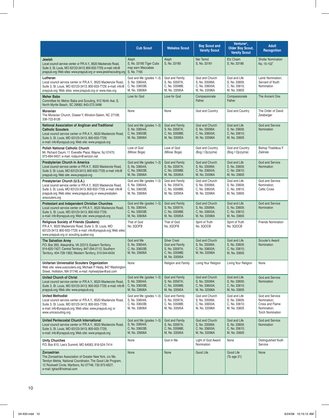|                                                                                                                                                                                                                                                                  | <b>Cub Scout</b>                                                             | <b>Webelos Scout</b>                                                                       | <b>Boy Scout and</b><br><b>Varsity Scout</b>                        | Venturer <sup>1</sup> ,<br><b>Older Boy Scout,</b><br><b>Varsity Scout</b> | <b>Adult</b><br>Recognition                                                                 |
|------------------------------------------------------------------------------------------------------------------------------------------------------------------------------------------------------------------------------------------------------------------|------------------------------------------------------------------------------|--------------------------------------------------------------------------------------------|---------------------------------------------------------------------|----------------------------------------------------------------------------|---------------------------------------------------------------------------------------------|
| Jewish<br>Local council service center or P.R.A.Y., 8520 Mackenzie Road,<br>Suite 3, St. Louis, MO 63123-3413; 800-933-7729; e-mail: info@<br>praypub.org; Web sites: www.praypub.org or www.jewishscouting.org                                                  | Aleph<br>S, No. 33185 Tiger Cubs<br>may earn Maccabee<br>S, No. 7165         | Aleph<br>S, No. 33185                                                                      | Ner Tamid<br>S, No. 33181                                           | Etz Chaim<br>S, No. 33186                                                  | <b>Shofar Nomination</b><br>No. $15-102^2$                                                  |
| Lutheran<br>Local council service center or P.R.A.Y., 8520 Mackenzie Road,<br>Suite 3, St. Louis, MO 63123-3413; 800-933-7729; e-mail: info@<br>praypub.org; Web sites: www.praypub.org or www.nlas.org                                                          | God and Me (grades 1-3)<br>S, No. 33604A;<br>C, No. 33603B;<br>M, No. 33606A | God and Family<br>S, No. 33597A;<br>C, No. 33598B;<br>M, No. 33595A                        | God and Church<br>S, No. 33599A;<br>C, No. 33600A;<br>M, No. 33596A | God and Life<br>S, No. 33609;<br>C, No. 33610;<br>M, No. 33605             | Lamb Nomination;<br>Servant of Youth<br>Nomination                                          |
| <b>Meher Baba</b><br>Committee for Meher Baba and Scouting, 912 Ninth Ave. S,<br>North Myrtle Beach, SC 29582; 843-272-3498                                                                                                                                      | Love for God                                                                 | Love for God                                                                               | Compassionate<br>Father                                             | Compassionate<br>Father                                                    | The Ancient One                                                                             |
| Moravian<br>The Moravian Church, Drawer Y, Winston-Salem, NC 27108;<br>336-722-8126                                                                                                                                                                              | None                                                                         | None                                                                                       | God and Country                                                     | God and Country                                                            | The Order of David<br>Zeisberger                                                            |
| <b>National Association of Anglican and Traditional</b><br><b>Catholic Scouters</b><br>Local council service center or P.R.A.Y., 8520 Mackenzie Road,<br>Suite 3, St. Louis, MO 63123-3413; 800-933-7729;<br>e-mail: info@praypub.org; Web site: www.praypub.org | God and Me (grades 1-3)<br>S, No. 33604A;<br>C, No. 33603B;<br>M, No. 33606A | God and Family<br>S, No. 33597A;<br>C, No. 33598B;<br>M, No. 33595A                        | God and Church<br>S. No. 33599A;<br>C, No. 33600A;<br>M, No. 33596A | God and Life<br>S, No. 33609;<br>C, No. 33610;<br>M, No. 33605             | God and Service<br><b>Nomination</b>                                                        |
| <b>Polish National Catholic Church</b><br>Mr. Richard Daum; 11 Everette Place; Wayne, NJ 07470;<br>973-694-9457; e-mail: rodaum@verizon.net                                                                                                                      | Love of God<br>(Milosc Boga)                                                 | Love of God<br>(Milosc Boga)                                                               | God and Country<br>(Bog I Ojczyzna)                                 | God and Country<br>(Bog I Ojczyzna)                                        | Bishop Thaddeus F.<br>Zielinski                                                             |
| Presbyterian Church in America<br>Local council service center or P.R.A.Y., 8520 Mackenzie Road,<br>Suite 3, St. Louis, MO 63123-3413; 800-933-7729; e-mail: info@<br>praypub.org; Web site: www.praypub.org                                                     | God and Me (grades 1-3)<br>S, No. 33604A;<br>C, No. 33603B;<br>M, No. 33606A | God and Family<br>S, No. 33597A;<br>C, No. 33598B;<br>M, No. 33595A                        | God and Church<br>S, No. 33599A;<br>C, No. 33600A;<br>M, No. 33596A | God and Life<br>S, No. 33609;<br>C, No. 33610;<br>M, No. 33605             | God and Service<br><b>Nomination</b>                                                        |
| Presbyterian Church (U.S.A.)<br>Local council service center or P.R.A.Y., 8520 Mackenzie Road,<br>Suite 3, St. Louis, MO 63123-3413; 800-933-7729; e-mail: info@<br>praypub.org; Web sites: www.praypub.org or www.presbyteri-<br>anscouters.org                 | God and Me (grades 1-3)<br>S, No. 33604A;<br>C, No. 33603B;<br>M, No. 33606A | God and Family<br>S. No. 33597A;<br>C, No. 33598B;<br>M, No. 33595A                        | God and Church<br>S. No. 33599A;<br>C, No. 33600A;<br>M, No. 33596A | God and Life<br>S, No. 33609;<br>C, No. 33610;<br>M, No. 33605             | God and Service<br>Nomination;<br><b>Celtic Cross</b>                                       |
| Protestant and Independent Christian Churches<br>Local council service center or P.R.A.Y., 8520 Mackenzie Road,<br>Suite 3, St. Louis, MO 63123-3413; 800-933-7729;<br>e-mail: info@praypub.org; Web site: www.praypub.org                                       | God and Me (grades 1-3)<br>S, No. 33604A;<br>C, No. 33603B;<br>M, No. 33606A | God and Family<br>S, No. 33597A;<br>C, No. 33598B;<br>M, No. 33595A                        | God and Church<br>S. No. 33599A;<br>C, No. 33600A;<br>M, No. 33596A | God and Life<br>S, No. 33609;<br>C, No. 33610;<br>M, No. 33605             | God and Service<br>Nomination                                                               |
| <b>Religious Society of Friends (Quakers)</b><br>P.R.A.Y., 8520 Mackenzie Road, Suite 3, St. Louis, MO<br>63123-3413; 800-933-7729; e-mail: info@praypub.org; Web sites:<br>www.praypub.org or scouting.quaker.org                                               | That of God<br>No. 3QOFB                                                     | That of God<br>No. 3QOFB                                                                   | Spirit of Truth<br>No. 3QOCB                                        | Spirit of Truth<br>No. 3QOCB                                               | <b>Friends Nomination</b>                                                                   |
| <b>The Salvation Army</b><br>P.O. Box 269, Alexandria, VA 22313; Eastern Territory,<br>914-620-7427; Central Territory, 847-294-2112; Southern<br>Territory, 404-728-1363; Western Territory, 310-544-6434                                                       | God and Me<br>S, No. 33604A;<br>C, No. 33603B;<br>M, No. 33606A              | <b>Silver Crest</b><br>God and Family<br>S. No. 33597A;<br>C, No. 33598B;<br>M, No. 33595A | God and Church<br>S, No. 33599A;<br>C, No. 33600A;<br>M, No. 33596A | God and Life<br>S, No. 33609;<br>C, No. 33610;<br>M, No. 33605             | Scouter's Award<br><b>Nomination</b>                                                        |
| <b>Unitarian Universalist Scouters Organization</b><br>Web site: www.uuscouters.org; Michael P. Healy, 847 Washington<br>Street, Holliston, MA 01746; e-mail: mphealylaw@aol.com                                                                                 | None                                                                         | Religion and Family                                                                        | Living Your Religion                                                | Living Your Religion                                                       | None                                                                                        |
| <b>United Church of Christ</b><br>Local council service center or P.R.A.Y., 8520 Mackenzie Road,<br>Suite 3, St. Louis, MO 63123-3413; 800-933-7729; e-mail: info@<br>praypub.org; Web site: www.praypub.org                                                     | God and Me (grades 1-3)<br>S, No. 33604A;<br>C, No. 33603B;<br>M, No. 33606A | God and Family<br>S, No. 33597A;<br>C, No. 33598B;<br>M, No. 33595A                        | God and Church<br>S, No. 33599A;<br>C, No. 33600A;<br>M, No. 33596A | God and Life<br>S, No. 33609;<br>C, No. 33610;<br>M, No. 33605             | God and Service<br>Nomination                                                               |
| <b>United Methodist</b><br>Local council service center or P.R.A.Y., 8520 Mackenzie Road,<br>Suite 3, St. Louis, MO 63123-3413; 800-933-7729;<br>e-mail: info@praypub.org; Web sites: www.praypub.org or<br>www.umcscouting.org                                  | God and Me (grades 1-3)<br>S, No. 33604A;<br>C, No. 33603B;<br>M, No. 33606A | God and Family<br>S, No. 33597A;<br>C, No. 33598B;<br>M, No. 33595A                        | God and Church<br>S, No. 33599A;<br>C, No. 33600A;<br>M, No. 33596A | God and Life<br>S, No. 33609;<br>C, No. 33610;<br>M, No. 33605             | God and Service<br>Nomination;<br>Cross and Flame<br>Nomination:<br><b>Torch Nomination</b> |
| <b>United Pentecostal Church International</b><br>Local council service center or P.R.A.Y., 8520 Mackenzie Road,<br>Suite 3, St. Louis, MO 63123-3413; 800-933-7729;<br>e-mail: info@praypub.org; Web site: www.praypub.org                                      | God and Me (grades 1-3)<br>S, No. 33604A;<br>C, No. 33603B;<br>M, No. 33606A | God and Family<br>S, No. 33597A;<br>C, No. 33598B;<br>M, No. 33595A                        | God and Church<br>S, No. 33599A;<br>C, No. 33600A;<br>M, No. 33596A | God and Life<br>S, No. 33609;<br>C, No. 33610;<br>M, No. 33605             | God and Service<br>Nomination                                                               |
| <b>Unity Churches</b><br>P.O. Box 610, Lee's Summit, MO 64063; 816-524-7414                                                                                                                                                                                      | None                                                                         | God in Me                                                                                  | Light of God Award<br>Nomination                                    | None                                                                       | Distinguished Youth<br>Service                                                              |
| Zoroastrian<br>The Zoroastrian Association of Greater New York, c/o Ms.<br>Temilyn Mehta, National Coordinator, The Good Life Program,<br>12 Rockwell Circle, Marlboro, NJ 07746; 732-972-6527;<br>e-mail: tghad@hotmail.com                                     | None                                                                         | None                                                                                       | Good Life                                                           | Good Life<br>(To age 21)                                                   | None                                                                                        |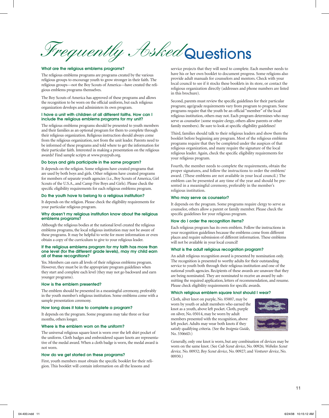*Frequently Asked*Questions

#### What are the religious emblems programs?

The religious emblems programs are programs created by the various religious groups to encourage youth to grow stronger in their faith. The religious groups—not the Boy Scouts of America—have created the religious emblems programs themselves.

The Boy Scouts of America has approved of these programs and allows the recognition to be worn on the official uniform, but each religious organization develops and administers its own program.

#### I have a unit with children of all different faiths. How can I include the religious emblems programs for my unit?

The religious emblems programs should be presented to youth members and their families as an optional program for them to complete through their religious organization. Religious instruction should always come from the religious organization, not from the unit leader. Parents need to be informed of these programs and told where to get the information for their particular faith. Interested in making a presentation on the religious awards? Find sample scripts at www.praypub.org.

#### Do boys and girls participate in the same program?

It depends on the religion. Some religions have created programs that are used by both boys and girls. Other religions have created programs for members of separate youth agencies (i.e., Boy Scouts of America, Girl Scouts of the U.S.A., and Camp Fire Boys and Girls). Please check the specific eligibility requirements for each religious emblems program.

#### Do the youth have to belong to a religious institution?

It depends on the religion. Please check the eligibility requirements for your particular religious program.

#### Why doesn't my religious institution know about the religious emblems programs?

Although the religious bodies at the national level created the religious emblems programs, the local religious institution may not be aware of these programs. It may be helpful to write for more information or even obtain a copy of the curriculum to give to your religious leader.

#### If the religious emblems program for my faith has more than one level (for the different grade levels), may my child earn all of these recognitions?

Yes. Members can earn all levels of their religious emblems program. However, they must be in the appropriate program guidelines when they start and complete each level (they may not go backward and earn younger programs).

#### How is the emblem presented?

The emblem should be presented in a meaningful ceremony, preferably in the youth member's religious institution. Some emblems come with a sample presentation ceremony.

#### How long does it take to complete a program?

It depends on the program. Some programs may take three or four months, others longer.

#### Where is the emblem worn on the uniform?

The universal religious square knot is worn over the left shirt pocket of the uniform. Cloth badges and embroidered square knots are representative of the medal award. When a cloth badge is worn, the medal award is not worn.

#### How do we get started on these programs?

First, youth members must obtain the specific booklet for their religion. This booklet will contain information on all the lessons and

service projects that they will need to complete. Each member needs to have his or her own booklet to document progress. Some religions also provide adult manuals for counselors and mentors. Check with your local council to see if it stocks these booklets in its store, or contact the religious organization directly (addresses and phone numbers are listed in this brochure).

Second, parents must review the specific guidelines for their particular program; age/grade requirements vary from program to program. Some programs require that the youth be an official "member" of the local religious institution, others may not. Each program determines who may serve as counselor (some require clergy, others allow parents or other family members). Be sure to look at specific eligibility guidelines!

Third, families should talk to their religious leaders and show them the booklet before beginning any program. Most of the religious emblems programs require that they be completed under the auspices of that religious organization, and many require the signature of the local religious leader. Again, check the specific eligibility requirements for your religious program.

Fourth, the member needs to complete the requirements, obtain the proper signatures, and follow the instructions to order the emblem/ award. (These emblems are not available in your local council.) The emblem can be presented at any time of the year and should be presented in a meaningful ceremony, preferably in the member's religious institution.

#### Who may serve as counselor?

It depends on the program. Some programs require clergy to serve as counselor, others allow a parent or family member. Please check the specific guidelines for your religious program.

#### How do I order the recognition items?

Each religious program has its own emblem. Follow the instructions in your recognition guidelines because the emblems come from different places and require submission of different information. These emblems will not be available in your local council!

#### What is the adult religious recognition program?

An adult religious recognition award is presented by nomination only. The recognition is presented to worthy adults for their outstanding service to youth both through their religious institution and one of the national youth agencies. Recipients of these awards are unaware that they are being nominated. They are nominated to receive an award by submitting the required application, letters of recommendation, and resume. Please check eligibility requirements for specific awards.

#### Which religious emblem square knot should I wear?

Cloth, silver knot on purple, No. 05007, may be worn by youth or adult members who earned the knot as a youth, above left pocket. Cloth, purple on silver, No. 05014, may be worn by adult members presented with the recognition, above left pocket. Adults may wear both knots if they satisfy qualifying criteria. (See the *Insignia Guide*, No. 33066D.)



Generally, only one knot is worn, but any combination of devices may be worn on the same knot. (See *Cub Scout device*, No. 00926; *Webelos Scout device,* No. 00932; *Boy Scout device*, No. 00927; and *Venturer device*, No. 00930.)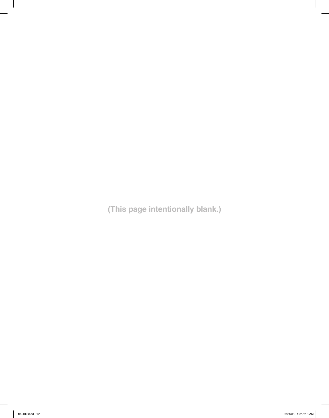**(This page intentionally blank.)**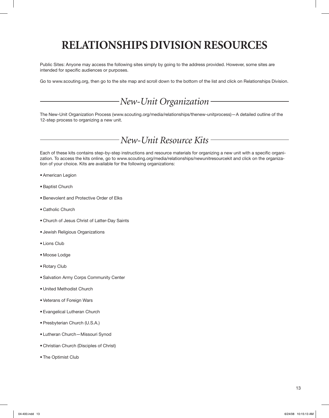# **Relationships Division Resources**

Public Sites: Anyone may access the following sites simply by going to the address provided. However, some sites are intended for specific audiences or purposes.

Go to www.scouting.org, then go to the site map and scroll down to the bottom of the list and click on Relationships Division.

# *New-Unit Organization*

The New-Unit Organization Process (www.scouting.org/media/relationships/thenew-unitprocess)—A detailed outline of the 12-step process to organizing a new unit.

### *New-Unit Resource Kits*

Each of these kits contains step-by-step instructions and resource materials for organizing a new unit with a specific organization. To access the kits online, go to www.scouting.org/media/relationships/newunitresourcekit and click on the organization of your choice. Kits are available for the following organizations:

- American Legion
- • Baptist Church
- • Benevolent and Protective Order of Elks
- • Catholic Church
- • Church of Jesus Christ of Latter-Day Saints
- • Jewish Religious Organizations
- • Lions Club
- • Moose Lodge
- • Rotary Club
- • Salvation Army Corps Community Center
- United Methodist Church
- • Veterans of Foreign Wars
- • Evangelical Lutheran Church
- • Presbyterian Church (U.S.A.)
- • Lutheran Church—Missouri Synod
- • Christian Church (Disciples of Christ)
- The Optimist Club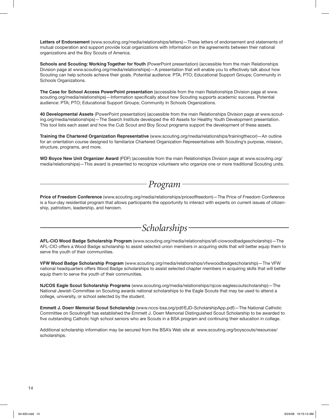**Letters of Endorsement** (www.scouting.org/media/relationships/letters)—These letters of endorsement and statements of mutual cooperation and support provide local organizations with information on the agreements between their national organizations and the Boy Scouts of America.

**Schools and Scouting: Working Together for Youth** (PowerPoint presentation) (accessible from the main Relationships Division page at www.scouting.org/media/relationships)—A presentation that will enable you to effectively talk about how Scouting can help schools achieve their goals. Potential audience: PTA, PTO; Educational Support Groups; Community in Schools Organizations.

**The Case for School Access PowerPoint presentation** (accessible from the main Relationships Division page at www. scouting.org/media/relationships)—Information specifically about how Scouting supports academic success. Potential audience: PTA; PTO; Educational Support Groups; Community In Schools Organizations.

**40 Developmental Assets** (PowerPoint presentation) (accessible from the main Relationships Division page at www.scouting.org/media/relationships)—The Search Institute developed the 40 Assets for Healthy Youth Development presentation. This tool lists each asset and how the Cub Scout and Boy Scout programs support the development of these assets.

**Training the Chartered Organization Representative** (www.scouting.org/media/relationships/trainingthecor)—An outline for an orientation course designed to familiarize Chartered Organization Representatives with Scouting's purpose, mission, structure, programs, and more.

**WD Boyce New Unit Organizer Award** (PDF) (accessible from the main Relationships Division page at www.scouting.org/ media/relationships)—This award is presented to recognize volunteers who organize one or more traditional Scouting units.

### *Program*

**Price of Freedom Conference** (www.scouting.org/media/relationships/priceoffreedom)—The Price of Freedom Conference is a four-day residential program that allows participants the opportunity to interact with experts on current issues of citizenship, patriotism, leadership, and heroism.



**AFL-CIO Wood Badge Scholarship Program** (www.scouting.org/media/relationships/afl-ciowoodbadgescholarship)—The AFL-CIO offers a Wood Badge scholarship to assist selected union members in acquiring skills that will better equip them to serve the youth of their communities.

**VFW Wood Badge Scholarship Program** (www.scouting.org/media/relationships/vfwwoodbadgescholarship)—The VFW national headquarters offers Wood Badge scholarships to assist selected chapter members in acquiring skills that will better equip them to serve the youth of their communities.

**NJCOS Eagle Scout Scholarship Programs** (www.scouting.org/media/relationships/njcos-eaglescoutscholarship)—The National Jewish Committee on Scouting awards national scholarships to the Eagle Scouts that may be used to attend a college, university, or school selected by the student.

**Emmett J. Doerr Memorial Scout Scholarship** (www.nccs-bsa.org/pdf/EJD-ScholarshipApp.pdf)—The National Catholic Committee on Scouting® has established the Emmett J. Doerr Memorial Distinguished Scout Scholarship to be awarded to five outstanding Catholic high school seniors who are Scouts in a BSA program and continuing their education in college.

Additional scholarship information may be secured from the BSA's Web site at www.scouting.org/boyscouts/resources/ scholarships.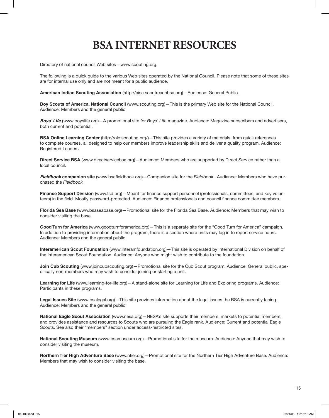# **BSA Internet Resources**

Directory of national council Web sites—www.scouting.org.

The following is a quick guide to the various Web sites operated by the National Council. Please note that some of these sites are for internal use only and are not meant for a public audience.

**American Indian Scouting Association** (http://aisa.scoutreachbsa.org)—Audience: General Public.

**Boy Scouts of America, National Council** (www.scouting.org)—This is the primary Web site for the National Council. Audience: Members and the general public.

*Boys' Life* **(**www.boyslife.org)—A promotional site for *Boys' Life* magazine. Audience: Magazine subscribers and advertisers, both current and potential.

**BSA Online Learning Center** (http://olc.scouting.org/)—This site provides a variety of materials, from quick references to complete courses, all designed to help our members improve leadership skills and deliver a quality program. Audience: Registered Leaders.

**Direct Service BSA** (www.directservicebsa.org)—Audience: Members who are supported by Direct Service rather than a local council.

*Fieldbook* **companion site** (www.bsafieldbook.org)—Companion site for the *Fieldbook*. Audience: Members who have purchased the *Fieldbook.*

**Finance Support Division** (www.fsd.org)—Meant for finance support personnel (professionals, committees, and key volunteers) in the field. Mostly password-protected. Audience: Finance professionals and council finance committee members.

**Florida Sea Base** (www.bsaseabase.org)—Promotional site for the Florida Sea Base. Audience: Members that may wish to consider visiting the base.

**Good Turn for America** (www.goodturnforamerica.org)—This is a separate site for the "Good Turn for America" campaign. In addition to providing information about the program, there is a section where units may log in to report service hours. Audience: Members and the general public.

**Interamerican Scout Foundation** (www.interamfoundation.org)—This site is operated by International Division on behalf of the Interamerican Scout Foundation. Audience: Anyone who might wish to contribute to the foundation.

**Join Cub Scouting** (www.joincubscouting.org)—Promotional site for the Cub Scout program. Audience: General public, specifically non-members who may wish to consider joining or starting a unit.

**Learning for Life** (www.learning-for-life.org)—A stand-alone site for Learning for Life and Exploring programs. Audience: Participants in these programs.

**Legal Issues Site** (www.bsalegal.org)—This site provides information about the legal issues the BSA is currently facing. Audience: Members and the general public.

**National Eagle Scout Association** (www.nesa.org)—NESA's site supports their members, markets to potential members, and provides assistance and resources to Scouts who are pursuing the Eagle rank. Audience: Current and potential Eagle Scouts. See also their "members" section under access-restricted sites.

**National Scouting Museum** (www.bsamuseum.org)—Promotional site for the museum. Audience: Anyone that may wish to consider visiting the museum.

**Northern Tier High Adventure Base** (www.ntier.org)—Promotional site for the Northern Tier High Adventure Base. Audience: Members that may wish to consider visiting the base.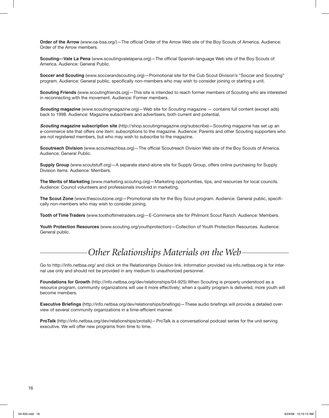**Order of the Arrow** (www.oa-bsa.org/)—The official Order of the Arrow Web site of the Boy Scouts of America. Audience: Order of the Arrow members.

**Scouting—Vale La Pena** (www.scoutingvalelapena.org)—The official Spanish-language Web site of the Boy Scouts of America. Audience: General Public.

**Soccer and Scouting** (www.soccerandscouting.org)—Promotional site for the Cub Scout Division's "Soccer and Scouting" program. Audience: General public, specifically non-members who may wish to consider joining or starting a unit.

**Scouting Friends** (www.scoutingfriends.org)—This site is intended to reach former members of Scouting who are interested in reconnecting with the movement. Audience: Former members.

*Scouting* **magazine** (www.scoutingmagazine.org)—Web site for *Scouting* magazine — contains full content (except ads) back to 1998. Audience: Magazine subscribers and advertisers, both current and potential.

*Scouting* **magazine subscription site** (http://shop.scoutingmagazine.org/subscribe)—Scouting magazine has set up an e-commerce site that offers one item: subscriptions to the magazine. Audience: Parents and other Scouting supporters who are not registered members, but who may wish to subscribe to the magazine.

**Scoutreach Division** (www.scoutreachbsa.org)—The official Scoutreach Division Web site of the Boy Scouts of America. Audience: General Public.

**Supply Group** (www.scoutstuff.org)—A separate stand-alone site for Supply Group, offers online purchasing for Supply Division items. Audience: Members.

**The Merits of Marketing** (www.marketing.scouting.org)—Marketing opportunities, tips, and resources for local councils. Audience: Council volunteers and professionals involved in marketing.

**The Scout Zone** (www.thescoutzone.org)—Promotional site for the Boy Scout program. Audience: General public, specifically non-members who may wish to consider joining.

**Tooth of Time Traders** (www.toothoftimetraders.org)—E-Commerce site for Philmont Scout Ranch. Audience: Members.

**Youth Protection Resources** (www.scouting.org/youthprotection)—Collection of Youth Protection Resources. Audience: General public.

# *Other Relationships Materials on the Web*

Go to http://info.netbsa.org/ and click on the Relationships Division link. Information provided via info.netbsa.org is for internal use only and should not be provided in any medium to unauthorized personnel.

**Foundations for Growth** (http://info.netbsa.org/dev/relationships/04-925) When Scouting is properly understood as a resource program, community organizations will use it more effectively; when a quality program is delivered, more youth will become members.

**Executive Briefings** (http://info.netbsa.org/dev/relationships/briefings)—These audio briefings will provide a detailed overview of several community organizations in a time-efficient manner.

**ProTalk** (http://info.netbsa.org/dev/relationships/protalk)—ProTalk is a conversational podcast series for the unit serving executive. We will offer new programs from time to time.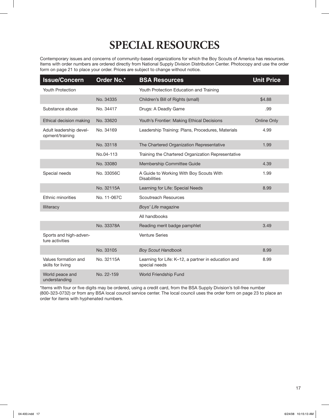# **Special Resources**

Contemporary issues and concerns of community-based organizations for which the Boy Scouts of America has resources. Items with order numbers are ordered directly from National Supply Division Distribution Center. Photocopy and use the order form on page 21 to place your order. Prices are subject to change without notice.

| <b>Issue/Concern</b>                       | <b>Order No.*</b> | <b>BSA Resources</b>                                                 | <b>Unit Price</b> |
|--------------------------------------------|-------------------|----------------------------------------------------------------------|-------------------|
| <b>Youth Protection</b>                    |                   | Youth Protection Education and Training                              |                   |
|                                            | No. 34335         | Children's Bill of Rights (small)                                    | \$4.88            |
| Substance abuse                            | No. 34417         | Drugs: A Deadly Game                                                 | .99               |
| Ethical decision making                    | No. 33620         | Youth's Frontier: Making Ethical Decisions                           | Online Only       |
| Adult leadership devel-<br>opment/training | No. 34169         | Leadership Training: Plans, Procedures, Materials                    | 4.99              |
|                                            | No. 33118         | The Chartered Organization Representative                            | 1.99              |
|                                            | No.04-113         | Training the Chartered Organization Representative                   |                   |
|                                            | No. 33080         | Membership Committee Guide                                           | 4.39              |
| Special needs                              | No. 33056C        | A Guide to Working With Boy Scouts With<br><b>Disabilities</b>       | 1.99              |
|                                            | No. 32115A        | Learning for Life: Special Needs                                     | 8.99              |
| Ethnic minorities                          | No. 11-067C       | <b>Scoutreach Resources</b>                                          |                   |
| Illiteracy                                 |                   | Boys' Life magazine                                                  |                   |
|                                            |                   | All handbooks                                                        |                   |
|                                            | No. 33378A        | Reading merit badge pamphlet                                         | 3.49              |
| Sports and high-adven-<br>ture activities  |                   | <b>Venture Series</b>                                                |                   |
|                                            | No. 33105         | <b>Boy Scout Handbook</b>                                            | 8.99              |
| Values formation and<br>skills for living  | No. 32115A        | Learning for Life: K-12, a partner in education and<br>special needs | 8.99              |
| World peace and<br>understanding           | No. 22-159        | World Friendship Fund                                                |                   |

\*Items with four or five digits may be ordered, using a credit card, from the BSA Supply Division's toll-free number (800-323-0732) or from any BSA local council service center. The local council uses the order form on page 23 to place an order for items with hyphenated numbers.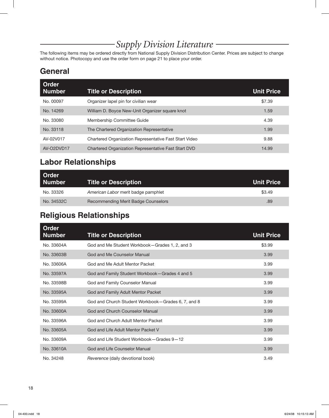# *Supply Division Literature*

The following items may be ordered directly from National Supply Division Distribution Center. Prices are subject to change without notice. Photocopy and use the order form on page 21 to place your order.

# **General**

| Order<br><b>Number</b> | <b>Title or Description</b>                            | <b>Unit Price</b> |
|------------------------|--------------------------------------------------------|-------------------|
| No. 00097              | Organizer lapel pin for civilian wear                  | \$7.39            |
| No. 14269              | William D. Boyce New-Unit Organizer square knot        | 1.59              |
| No. 33080              | Membership Committee Guide                             | 4.39              |
| No. 33118              | The Chartered Organization Representative              | 1.99              |
| AV-02V017              | Chartered Organization Representative Fast Start Video | 9.88              |
| AV-O2DVD17             | Chartered Organization Representative Fast Start DVD   | 14.99             |

# **Labor Relationships**

| Order<br><b>Number</b> | <b>Title or Description</b>                | <b>Unit Price</b> |
|------------------------|--------------------------------------------|-------------------|
| No. 33326              | American Labor merit badge pamphlet        | \$3.49            |
| No. 34532C             | <b>Recommending Merit Badge Counselors</b> | .89               |

### **Religious Relationships**

| <b>Order</b><br><b>Number</b> | <b>Title or Description</b>                          | <b>Unit Price</b> |
|-------------------------------|------------------------------------------------------|-------------------|
| No. 33604A                    | God and Me Student Workbook-Grades 1, 2, and 3       | \$3.99            |
| No. 33603B                    | God and Me Counselor Manual                          | 3.99              |
| No. 33606A                    | God and Me Adult Mentor Packet                       | 3.99              |
| No. 33597A                    | God and Family Student Workbook-Grades 4 and 5       | 3.99              |
| No. 33598B                    | God and Family Counselor Manual                      | 3.99              |
| No. 33595A                    | God and Family Adult Mentor Packet                   | 3.99              |
| No. 33599A                    | God and Church Student Workbook – Grades 6, 7, and 8 | 3.99              |
| No. 33600A                    | God and Church Counselor Manual                      | 3.99              |
| No. 33596A                    | God and Church Adult Mentor Packet                   | 3.99              |
| No. 33605A                    | God and Life Adult Mentor Packet V                   | 3.99              |
| No. 33609A                    | God and Life Student Workbook - Grades 9-12          | 3.99              |
| No. 33610A                    | God and Life Counselor Manual                        | 3.99              |
| No. 34248                     | Reverence (daily devotional book)                    | 3.49              |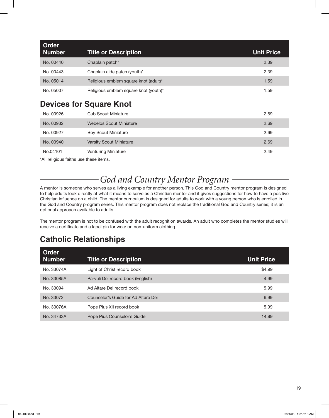| <b>Order</b><br><b>Number</b> | <b>Title or Description</b>           | <b>Unit Price</b> |
|-------------------------------|---------------------------------------|-------------------|
| No. 00440                     | Chaplain patch*                       | 2.39              |
| No. 00443                     | Chaplain aide patch (youth)*          | 2.39              |
| No. 05014                     | Religious emblem square knot (adult)* | 1.59              |
| No. 05007                     | Religious emblem square knot (youth)* | 1.59              |

# **Devices for Square Knot**

\*All religious faiths use these items.

# *God and Country Mentor Program*

A mentor is someone who serves as a living example for another person. This God and Country mentor program is designed to help adults look directly at what it means to serve as a Christian mentor and it gives suggestions for how to have a positive Christian influence on a child. The mentor curriculum is designed for adults to work with a young person who is enrolled in the God and Country program series. This mentor program does not replace the traditional God and Country series; it is an optional approach available to adults.

The mentor program is not to be confused with the adult recognition awards. An adult who completes the mentor studies will receive a certificate and a lapel pin for wear on non-uniform clothing.

# **Catholic Relationships**

| Order<br><b>Number</b> | <b>Title or Description</b>         | <b>Unit Price</b> |
|------------------------|-------------------------------------|-------------------|
| No. 33074A             | Light of Christ record book         | \$4.99            |
| No. 33085A             | Parvuli Dei record book (English)   | 4.99              |
| No. 33094              | Ad Altare Dei record book           | 5.99              |
| No. 33072              | Counselor's Guide for Ad Altare Dei | 6.99              |
| No. 33076A             | Pope Pius XII record book           | 5.99              |
| No. 34733A             | Pope Pius Counselor's Guide         | 14.99             |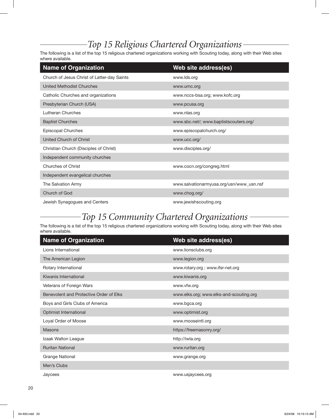# *Top 15 Religious Chartered Organizations*

The following is a list of the top 15 religious chartered organizations working with Scouting today, along with their Web sites where available.

| <b>Name of Organization</b>                 | Web site address(es)                     |
|---------------------------------------------|------------------------------------------|
| Church of Jesus Christ of Latter-day Saints | www.lds.org                              |
| <b>United Methodist Churches</b>            | www.umc.org                              |
| Catholic Churches and organizations         | www.nccs-bsa.org; www.kofc.org           |
| Presbyterian Church (USA)                   | www.pcusa.org                            |
| Lutheran Churches                           | www.nlas.org                             |
| <b>Baptist Churches</b>                     | www.sbc.net/; www.baptistscouters.org/   |
| <b>Episcopal Churches</b>                   | www.episcopalchurch.org/                 |
| United Church of Christ                     | www.ucc.org/                             |
| Christian Church (Disciples of Christ)      | www.disciples.org/                       |
| Independent community churches              |                                          |
| <b>Churches of Christ</b>                   | www.cocn.org/congreg.html                |
| Independent evangelical churches            |                                          |
| The Salvation Army                          | www.salvationarmyusa.org/usn/www_usn.nsf |
| Church of God                               | www.chog.org/                            |
| Jewish Synagogues and Centers               | www.jewishscouting.org                   |

# *Top 15 Community Chartered Organizations*

The following is a list of the top 15 religious chartered organizations working with Scouting today, along with their Web sites where available.

| <b>Name of Organization</b>             | Web site address(es)                    |
|-----------------------------------------|-----------------------------------------|
| Lions International                     | www.lionsclubs.org                      |
| The American Legion                     | www.legion.org                          |
| Rotary International                    | www.rotary.org ; www.ifsr-net.org       |
| Kiwanis International                   | www.kiwanis.org                         |
| Veterans of Foreign Wars                | www.vfw.org                             |
| Benevolent and Protective Order of Elks | www.elks.org; www.elks-and-scouting.org |
| Boys and Girls Clubs of America         | www.bgca.org                            |
| Optimist International                  | www.optimist.org                        |
| Loyal Order of Moose                    | www.mooseintl.org                       |
| Masons                                  | https://freemasonry.org/                |
| Izaak Walton League                     | http://iwla.org                         |
| <b>Ruritan National</b>                 | www.ruritan.org                         |
| <b>Grange National</b>                  | www.grange.org                          |
| Men's Clubs                             |                                         |
| Jaycees                                 | www.usjaycees.org                       |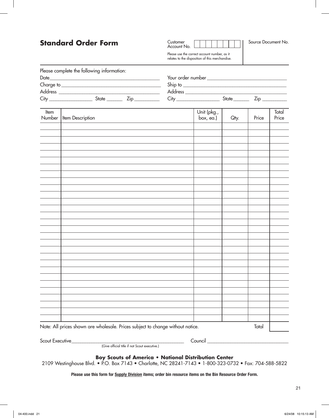### **Standard Order Form**

| Customer   |  |  |  |  |  | Source Document No. |
|------------|--|--|--|--|--|---------------------|
| Account No |  |  |  |  |  |                     |

Please use the correct account number, as it relates to the disposition of this merchandise.

| $Date_$         | Please complete the following information:<br><u> 1989 - Johann Stein, mars an deus Amerikaansk kommunister (</u><br><u> 1989 - Johann Barbara, martxa alemani</u> |                                  |      |       |                |  |  |  |  |
|-----------------|--------------------------------------------------------------------------------------------------------------------------------------------------------------------|----------------------------------|------|-------|----------------|--|--|--|--|
|                 |                                                                                                                                                                    | Ship to $\overline{\phantom{a}}$ |      |       |                |  |  |  |  |
|                 | Address <b>Management Community Community</b>                                                                                                                      |                                  |      |       |                |  |  |  |  |
|                 |                                                                                                                                                                    |                                  |      |       |                |  |  |  |  |
| Item            | Number   Item Description                                                                                                                                          | Unit (pkg.,<br>box, ea.)         | Qty. | Price | Total<br>Price |  |  |  |  |
|                 |                                                                                                                                                                    |                                  |      |       |                |  |  |  |  |
|                 |                                                                                                                                                                    |                                  |      |       |                |  |  |  |  |
|                 |                                                                                                                                                                    |                                  |      |       |                |  |  |  |  |
|                 |                                                                                                                                                                    |                                  |      |       |                |  |  |  |  |
|                 |                                                                                                                                                                    |                                  |      |       |                |  |  |  |  |
|                 |                                                                                                                                                                    |                                  |      |       |                |  |  |  |  |
|                 |                                                                                                                                                                    |                                  |      |       |                |  |  |  |  |
|                 |                                                                                                                                                                    |                                  |      |       |                |  |  |  |  |
|                 |                                                                                                                                                                    |                                  |      |       |                |  |  |  |  |
|                 |                                                                                                                                                                    |                                  |      |       |                |  |  |  |  |
|                 |                                                                                                                                                                    |                                  |      |       |                |  |  |  |  |
|                 |                                                                                                                                                                    |                                  |      |       |                |  |  |  |  |
|                 |                                                                                                                                                                    |                                  |      |       |                |  |  |  |  |
|                 |                                                                                                                                                                    |                                  |      |       |                |  |  |  |  |
|                 |                                                                                                                                                                    |                                  |      |       |                |  |  |  |  |
|                 |                                                                                                                                                                    |                                  |      |       |                |  |  |  |  |
|                 |                                                                                                                                                                    |                                  |      |       |                |  |  |  |  |
|                 |                                                                                                                                                                    |                                  |      |       |                |  |  |  |  |
|                 |                                                                                                                                                                    |                                  |      |       |                |  |  |  |  |
|                 |                                                                                                                                                                    |                                  |      |       |                |  |  |  |  |
|                 |                                                                                                                                                                    |                                  |      |       |                |  |  |  |  |
|                 |                                                                                                                                                                    |                                  |      |       |                |  |  |  |  |
|                 |                                                                                                                                                                    |                                  |      |       |                |  |  |  |  |
|                 |                                                                                                                                                                    |                                  |      |       |                |  |  |  |  |
|                 |                                                                                                                                                                    |                                  |      |       |                |  |  |  |  |
|                 |                                                                                                                                                                    |                                  |      |       |                |  |  |  |  |
|                 | Note: All prices shown are wholesale. Prices subject to change without notice.                                                                                     |                                  |      | Total |                |  |  |  |  |
|                 |                                                                                                                                                                    |                                  |      |       |                |  |  |  |  |
| Scout Executive |                                                                                                                                                                    | Council                          |      |       |                |  |  |  |  |

(Give official title if not Scout executive.)

#### **Boy Scouts of America • National Distribution Center**

2109 Westinghouse Blvd. • P.O. Box 7143 • Charlotte, NC 28241-7143 • 1-800-323-0732 • Fax: 704-588-5822

**Please use this form for Supply Division items; order bin resource items on the Bin Resource Order Form.**